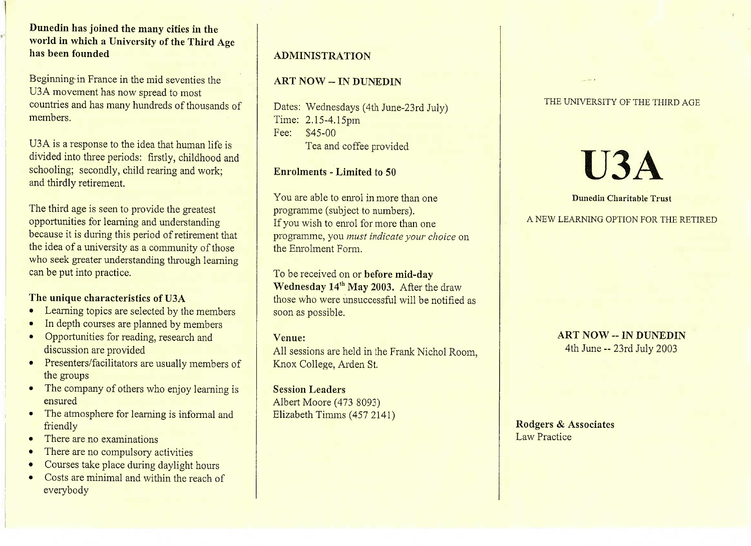## **Dunedin has joined the many cities in the world in which a University of the Third Agehas been founded**

Beginning in France in the mid seventies the U3A movement has now spread to most USA movement has now spread to most countries and has many hundreds of thousands ofmembers.

U3 A is a response to the idea that human life is divided into three periods: firstly, childhood andschooling; secondly, child rearing and work;and thirdly retirement.

The third age is seen to provide the greatest opportunities for learning and understandingbecause it is during this period of retirement that because it is during this period of retirement that the idea of a university as a community of thosewho seek greater understanding through learning can be put into practice.

- **The unique characteristics of USA**<br>• Learning topics are selected by the members
- In depth courses are planned by members
- Opportunities for reading, research and
- discussion are provided<br>Presenters/facilitators are usually members of
- the groups<br>The company of others who enjoy learning is ensured
- The atmosphere for rearning is informal and
- friendly<br>There are no examinations
- Finere are no compulsory activities
- Courses take place during daylight hours
- Costs are minimal and within the reach ofeverybody

### **ADMINISTRATION**

### **ART NOW -- IN DUNEDIN**

Dates: Wednesdays (4th June-23rd July)Time: 2.15-4.15pmFee: \$45-00I ea and coffee provided

### **Enrolments - Limited to 50**

You are able to enrol in more than oneprogramme (subject to numbers).If you wish to enrol for more than one programme, you *must indicate your choice* onthe Enrolment Form.

To be received on or **before mid-dayWednesday 14<sup>th</sup> May 2003.** After the draw those who were unsuccessful will be notified assoon as possible.

### **Venue:**

 All sessions are held in the Frank Nichol Room,Knox College, Arden St.

**Session Leaders** Albert Moore (473 8093) $\text{E}$ lizabeth Timms (457 2141)

### THE UNIVERSITY OF THE THIRD AGE

# **U3A**

### **Dunedin Charitable Trust**

A NEW LEARNING OPTION FOR THE RETIRED

**ART NOW -- IN DUNEDIN**4th June -- 23rd July 2003

**Rodgers** *&* **Associates**Law Practice